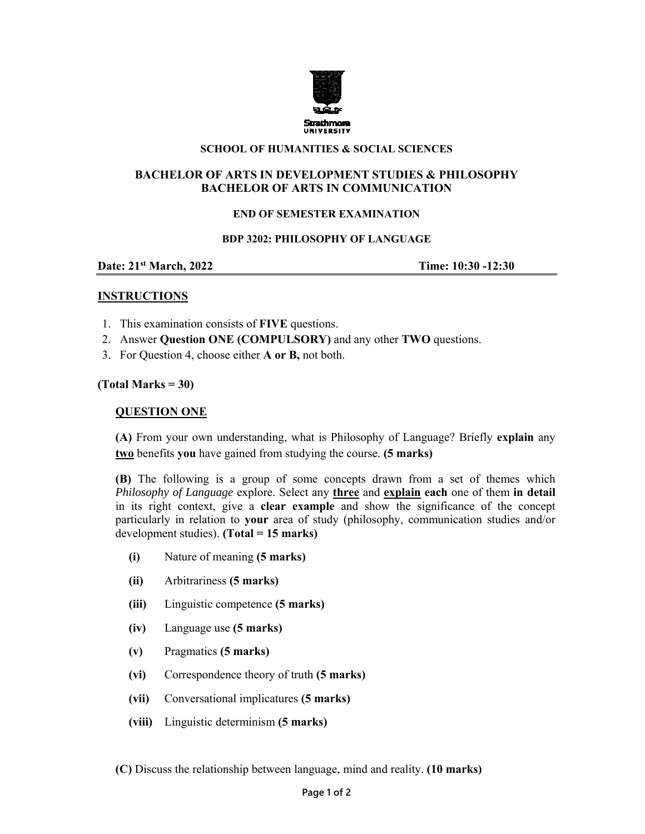

### **SCHOOL OF HUMANITIES & SOCIAL SCIENCES**

# **BACHELOR OF ARTS IN DEVELOPMENT STUDIES & PHILOSOPHY BACHELOR OF ARTS IN COMMUNICATION**

# **END OF SEMESTER EXAMINATION**

### **BDP 3202: PHILOSOPHY OF LANGUAGE**

**Date:** 21<sup>st</sup> March, 2022 **Time:** 10:30 -12:30

### **INSTRUCTIONS**

- 1. This examination consists of **FIVE** questions.
- 2. Answer **Question ONE (COMPULSORY)** and any other **TWO** questions.
- 3. For Question 4, choose either **A or B,** not both.

# **(Total Marks = 30)**

### **QUESTION ONE**

**(A)** From your own understanding, what is Philosophy of Language? Briefly **explain** any **two** benefits **you** have gained from studying the course. **(5 marks)** 

**(B)** The following is a group of some concepts drawn from a set of themes which *Philosophy of Language* explore. Select any **three** and **explain each** one of them **in detail**  in its right context, give a **clear example** and show the significance of the concept particularly in relation to **your** area of study (philosophy, communication studies and/or development studies). **(Total = 15 marks)** 

- **(i)** Nature of meaning **(5 marks)**
- **(ii)** Arbitrariness **(5 marks)**
- **(iii)** Linguistic competence **(5 marks)**
- **(iv)** Language use **(5 marks)**
- **(v)** Pragmatics **(5 marks)**
- **(vi)** Correspondence theory of truth **(5 marks)**
- **(vii)** Conversational implicatures **(5 marks)**
- **(viii)** Linguistic determinism **(5 marks)**

**(C)** Discuss the relationship between language, mind and reality. **(10 marks)**